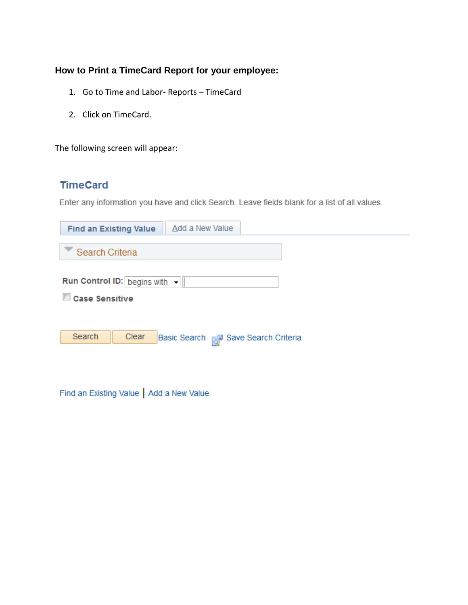## **How to Print a TimeCard Report for your employee:**

- 1. Go to Time and Labor- Reports TimeCard
- 2. Click on TimeCard.

The following screen will appear:

## **TimeCard**

Enter any information you have and click Search. Leave fields blank for a list of all values.

| <b>Find an Existing Value</b>                          | Add a New Value                        |
|--------------------------------------------------------|----------------------------------------|
| Search Criteria                                        |                                        |
| Run Control ID: begins with -<br><b>Case Sensitive</b> |                                        |
| Search<br>Clear                                        | Basic Search FIII Save Search Criteria |

Find an Existing Value | Add a New Value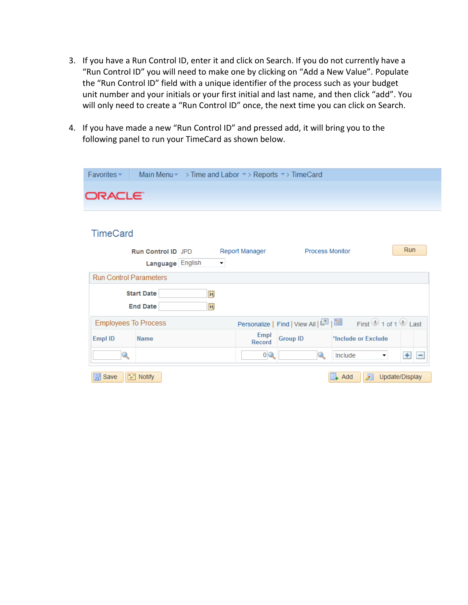- 3. If you have a Run Control ID, enter it and click on Search. If you do not currently have a "Run Control ID" you will need to make one by clicking on "Add a New Value". Populate the "Run Control ID" field with a unique identifier of the process such as your budget unit number and your initials or your first initial and last name, and then click "add". You will only need to create a "Run Control ID" once, the next time you can click on Search.
- 4. If you have made a new "Run Control ID" and pressed add, it will bring you to the following panel to run your TimeCard as shown below.

| Favorites-                    |                           |    |                          |                | Main Menu > Time and Labor > Reports > TimeCard |                     |                |
|-------------------------------|---------------------------|----|--------------------------|----------------|-------------------------------------------------|---------------------|----------------|
|                               |                           |    |                          |                |                                                 |                     |                |
| ORACLE <sup>.</sup>           |                           |    |                          |                |                                                 |                     |                |
|                               |                           |    |                          |                |                                                 |                     |                |
|                               |                           |    |                          |                |                                                 |                     |                |
| <b>TimeCard</b>               |                           |    |                          |                |                                                 |                     |                |
|                               | <b>Run Control ID JPD</b> |    |                          | Report Manager | <b>Process Monitor</b>                          |                     | <b>Run</b>     |
|                               | Language English          |    | $\overline{\phantom{a}}$ |                |                                                 |                     |                |
|                               |                           |    |                          |                |                                                 |                     |                |
| <b>Run Control Parameters</b> |                           |    |                          |                |                                                 |                     |                |
|                               | <b>Start Date</b>         | Ħ  |                          |                |                                                 |                     |                |
|                               | <b>End Date</b>           | BI |                          |                |                                                 |                     |                |
| <b>Employees To Process</b>   |                           |    |                          |                |                                                 |                     |                |
|                               |                           |    |                          | Empl           |                                                 |                     |                |
| Empl ID                       | <b>Name</b>               |    |                          | Record         | <b>Group ID</b>                                 | *Include or Exclude |                |
| Q                             |                           |    |                          | 0 <sub>8</sub> | Q                                               | Include<br>▼        | $+$ $-$        |
|                               |                           |    |                          |                |                                                 |                     |                |
| $\mathbb{R}$ Save             | $\equiv$ Notify           |    |                          |                |                                                 | ℤ<br>Add            | Update/Display |
|                               |                           |    |                          |                |                                                 |                     |                |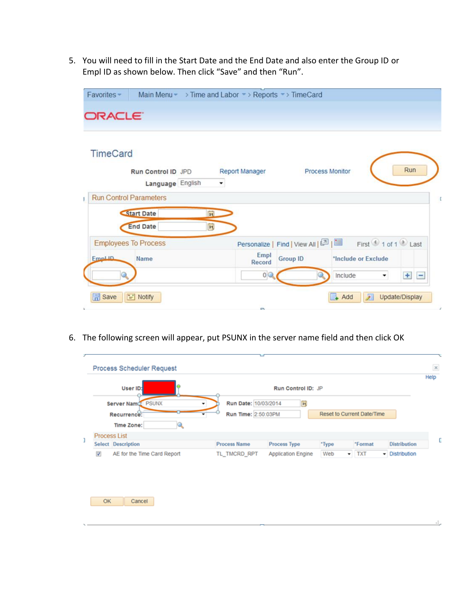5. You will need to fill in the Start Date and the End Date and also enter the Group ID or Empl ID as shown below. Then click "Save" and then "Run".

| <b>ORACLE</b>                                             | Main Menu • > Time and Labor • > Reports • > TimeCard |                        |                     |
|-----------------------------------------------------------|-------------------------------------------------------|------------------------|---------------------|
| <b>TimeCard</b><br>Run Control ID JPD<br>Language English | <b>Report Manager</b><br>$\blacktriangledown$         | <b>Process Monitor</b> | Run                 |
| <b>Run Control Parameters</b>                             |                                                       |                        |                     |
|                                                           |                                                       |                        |                     |
| <b>Start Date</b><br>司                                    |                                                       |                        |                     |
| B<br><b>End Date</b>                                      |                                                       |                        |                     |
|                                                           |                                                       |                        |                     |
| <b>Employees To Process</b><br><b>FmpLID</b><br>Name      | Empl<br><b>Record</b>                                 | <b>Group ID</b>        | *Include or Exclude |

6. The following screen will appear, put PSUNX in the server name field and then click OK

| User ID:                                         |                             |                                             | Run Control ID: JP        |       |                                   |                           | Help |
|--------------------------------------------------|-----------------------------|---------------------------------------------|---------------------------|-------|-----------------------------------|---------------------------|------|
| Server Name: PSUNX<br>Recurrence:                |                             | Run Date: 10/03/2014<br>Run Time: 2:50:03PM | 同                         |       | <b>Reset to Current Date/Time</b> |                           |      |
| Time Zone:                                       |                             |                                             |                           |       |                                   |                           |      |
| <b>Process List</b><br><b>Select</b> Description |                             | <b>Process Name</b>                         | Process Type              | *Type | *Format                           | <b>Distribution</b>       |      |
| $\boldsymbol{J}$                                 | AE for the Time Card Report | TL_TMCRD_RPT                                | <b>Application Engine</b> | Web   | $\blacktriangleright$ TXT         | <b>Distribution</b><br>۳I |      |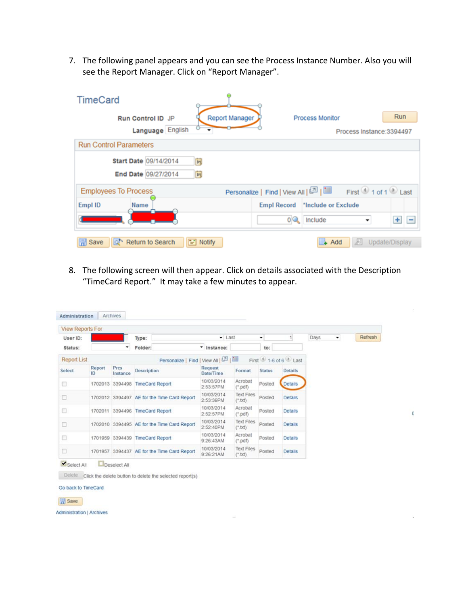7. The following panel appears and you can see the Process Instance Number. Also you will see the Report Manager. Click on "Report Manager".

| <b>TimeCard</b>                 |                       |                                                           |
|---------------------------------|-----------------------|-----------------------------------------------------------|
| Run Control ID JP               | <b>Report Manager</b> | Run<br><b>Process Monitor</b>                             |
| Language English                |                       | Process Instance: 3394497                                 |
| <b>Run Control Parameters</b>   |                       |                                                           |
| Start Date 09/14/2014           | B1                    |                                                           |
| End Date 09/27/2014             | Ħ                     |                                                           |
| <b>Employees To Process</b>     |                       | Personalize   Find   View All   [2]   First 1 of 1 0 Last |
| Empl ID<br>Name                 | <b>Empl Record</b>    | *Include or Exclude                                       |
|                                 | 0Q                    | $+$ $-$<br>Include                                        |
| Return to Search<br><b>Save</b> | $\equiv$ Notify       | Update/Display<br>Add<br>세                                |

8. The following screen will then appear. Click on details associated with the Description "TimeCard Report." It may take a few minutes to appear.

| <b>View Reports For</b> |              |                  |                                             |                         |                                |               |                     |      |   |         |
|-------------------------|--------------|------------------|---------------------------------------------|-------------------------|--------------------------------|---------------|---------------------|------|---|---------|
| User ID:                |              |                  | Type:                                       | · Last                  |                                | ۰             | $\overline{1}$      | Days | ۰ | Refresh |
| Status:                 |              |                  | Folder:                                     | " Instance:             |                                | to:           |                     |      |   |         |
| <b>Report List</b>      |              |                  | Personalize   Find   View All   87          |                         |                                |               | First 1-6 of 6 Last |      |   |         |
| Select                  | Report<br>ID | Prcs<br>Instance | <b>Description</b>                          | Request<br>Date/Time    | Format                         | <b>Status</b> | <b>Details</b>      |      |   |         |
| $\Box$                  |              | 1702013 3394498  | <b>TimeCard Report</b>                      | 10/03/2014<br>2:53:57PM | Acrobat<br>$(*$ pdf)           | Posted        | Details             |      |   |         |
| α                       |              |                  | 1702012 3394497 AE for the Time Card Report | 10/03/2014<br>2:53:39PM | <b>Text Files</b><br>$(*.txt)$ | <b>Posted</b> | <b>Details</b>      |      |   |         |
| ▣                       |              | 1702011 3394496  | <b>TimeCard Report</b>                      | 10/03/2014<br>2:52:57PM | Acrobat<br>$('$ . pdf $)$      | Posted        | <b>Details</b>      |      |   |         |
| □                       |              |                  | 1702010 3394495 AE for the Time Card Report | 10/03/2014<br>2:52:40PM | <b>Text Files</b><br>$(*.txt)$ | Posted.       | <b>Details</b>      |      |   |         |
| □                       |              |                  | 1701959 3394439 TimeCard Report             | 10/03/2014<br>9:26:43AM | Acrobat<br>$('$ .pdf)          | Posted        | <b>Details</b>      |      |   |         |
| □                       |              |                  | 1701957 3394437 AE for the Time Card Report | 10/03/2014<br>9:26:21AM | <b>Text Files</b><br>$(*.txt)$ | Posted        | <b>Details</b>      |      |   |         |

E

Select All **Deselect All** 

Delete Click the delete button to delete the selected report(s)

Go back to TimeCard

**E** Save

**Administration | Archives**